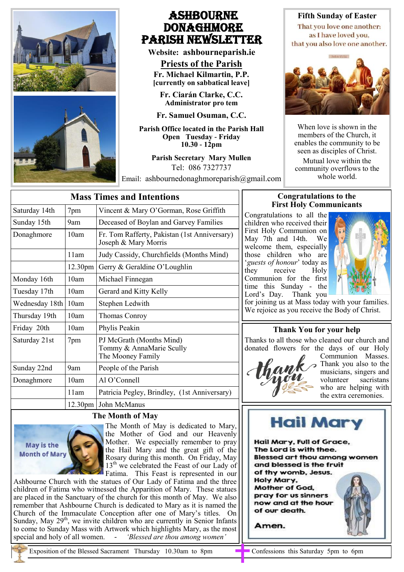

# Ashbourne **DONAGHMORE** Parish NEWSLETTER

**Website: ashbourneparish.ie**

**Priests of the Parish Fr. Michael Kilmartin, P.P. [currently on sabbatical leave]**

**Fr. Ciarán Clarke, C.C. Administrator pro tem**

**Fr. Samuel Osuman, C.C.**

**Parish Office located in the Parish Hall Open Tuesday - Friday 10.30 - 12pm**

> **Parish Secretary Mary Mullen** Tel: 086 7327737

Email: ashbournedonaghmoreparish@gmail.com whole world.

**Fifth Sunday of Easter** That you love one another:

as I have loved you. that you also love one another.



When love is shown in the members of the Church, it enables the community to be seen as disciples of Christ.

Mutual love within the community overflows to the

| <b>Mass Times and Intentions</b> |                     |                                                                           |
|----------------------------------|---------------------|---------------------------------------------------------------------------|
| Saturday 14th                    | 7pm                 | Vincent & Mary O'Gorman, Rose Griffith                                    |
| Sunday 15th                      | 9am                 | Deceased of Boylan and Garvey Families                                    |
| Donaghmore                       | 10am                | Fr. Tom Rafferty, Pakistan (1st Anniversary)<br>Joseph & Mary Morris      |
|                                  | 11am                | Judy Cassidy, Churchfields (Months Mind)                                  |
|                                  | 12.30 <sub>pm</sub> | Gerry & Geraldine O'Loughlin                                              |
| Monday 16th                      | 10am                | Michael Finnegan                                                          |
| Tuesday 17th                     | 10am                | Gerard and Kitty Kelly                                                    |
| Wednesday 18th                   | 10am                | Stephen Ledwith                                                           |
| Thursday 19th                    | 10am                | Thomas Conroy                                                             |
| Friday 20th                      | 10am                | Phylis Peakin                                                             |
| Saturday 21st                    | 7pm                 | PJ McGrath (Months Mind)<br>Tommy & AnnaMarie Scully<br>The Mooney Family |
| Sunday 22nd                      | 9am                 | People of the Parish                                                      |
| Donaghmore                       | 10am                | $Al O'C$ onnell                                                           |
|                                  | 11am                | Patricia Pegley, Brindley, (1st Anniversary)                              |
|                                  |                     | 12.30pm John McManus                                                      |

## **The Month of May**



The Month of May is dedicated to Mary, the Mother of God and our Heavenly Mother. We especially remember to pray the Hail Mary and the great gift of the Rosary during this month. On Friday, May 13<sup>th</sup> we celebrated the Feast of our Lady of Fatima. This Feast is represented in our

Ashbourne Church with the statues of Our Lady of Fatima and the three children of Fatima who witnessed the Apparition of Mary. These statues are placed in the Sanctuary of the church for this month of May. We also remember that Ashbourne Church is dedicated to Mary as it is named the Church of the Immaculate Conception after one of Mary's titles. On Sunday, May  $29<sup>th</sup>$ , we invite children who are currently in Senior Infants to come to Sunday Mass with Artwork which highlights Mary, as the most special and holy of all women. - *'Blessed are thou among women'*

## **Congratulations to the First Holy Communicants**

Congratulations to all the children who received their First Holy Communion on May 7th and 14th. We welcome them, especially those children who are '*guests of honour*' today as they receive Holy Communion for the first time this Sunday - the Lord's Day. Thank you



for joining us at Mass today with your families. We rejoice as you receive the Body of Christ.

## **Thank You for your help**

Thanks to all those who cleaned our church and donated flowers for the days of our Holy



Communion Masses. Thank you also to the musicians, singers and volunteer sacristans who are helping with the extra ceremonies.



Hail Mary, Full of Grace, The Lord is with thee. **Blessed art thou among women** and blessed is the fruit of thy womb, Jesus. Holy Mary. **Mother of God.** pray for us sinners now and at the hour of our death.

Amen.